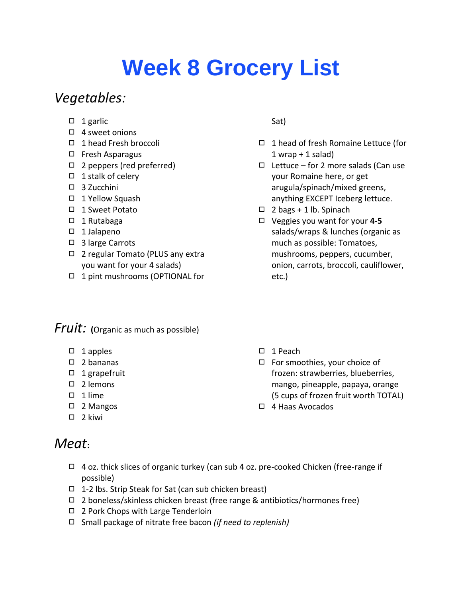# **Week 8 Grocery List**

### *Vegetables:*

- $\Box$  1 garlic
- ◻ 4 sweet onions
- ◻ 1 head Fresh broccoli
- ◻ Fresh Asparagus
- ◻ 2 peppers (red preferred)
- ◻ 1 stalk of celery
- ◻ 3 Zucchini
- ◻ 1 Yellow Squash
- ◻ 1 Sweet Potato
- ◻ 1 Rutabaga
- ◻ 1 Jalapeno
- ◻ 3 large Carrots
- ◻ 2 regular Tomato (PLUS any extra you want for your 4 salads)
- ◻ 1 pint mushrooms (OPTIONAL for

#### Sat)

- ◻ 1 head of fresh Romaine Lettuce (for  $1$  wrap  $+ 1$  salad)
- ◻ Lettuce for 2 more salads (Can use your Romaine here, or get arugula/spinach/mixed greens, anything EXCEPT Iceberg lettuce.
- $\Box$  2 bags + 1 lb. Spinach
- ◻ Veggies you want for your **4-5**  salads/wraps & lunches (organic as much as possible: Tomatoes, mushrooms, peppers, cucumber, onion, carrots, broccoli, cauliflower, etc.)

#### *Fruit:* **(**Organic as much as possible)

- ◻ 1 apples
- ◻ 2 bananas
- ◻ 1 grapefruit
- ◻ 2 lemons
- ◻ 1 lime
- ◻ 2 Mangos
- ◻ 2 kiwi

### *Meat***:**

- ◻ 4 oz. thick slices of organic turkey (can sub 4 oz. pre-cooked Chicken (free-range if possible)
- ◻ 1-2 lbs. Strip Steak for Sat (can sub chicken breast)
- ◻ 2 boneless/skinless chicken breast (free range & antibiotics/hormones free)
- ◻ 2 Pork Chops with Large Tenderloin
- ◻ Small package of nitrate free bacon *(if need to replenish)*
- ◻ 1 Peach
- ◻ For smoothies, your choice of frozen: strawberries, blueberries, mango, pineapple, papaya, orange (5 cups of frozen fruit worth TOTAL)
- ◻ 4 Haas Avocados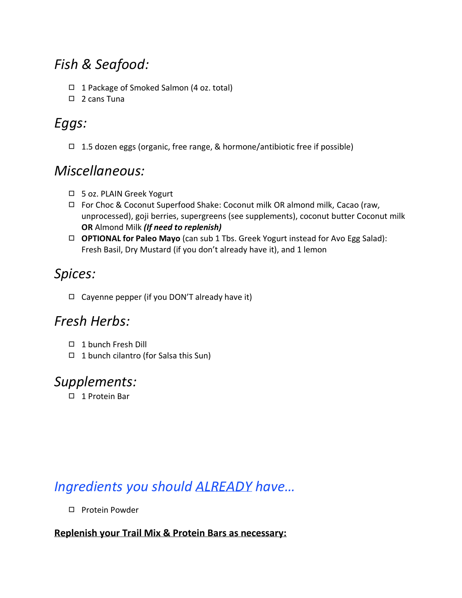# *Fish & Seafood:*

- ◻ 1 Package of Smoked Salmon (4 oz. total)
- ◻ 2 cans Tuna

### *Eggs:*

◻ 1.5 dozen eggs (organic, free range, & hormone/antibiotic free if possible)

#### *Miscellaneous:*

- ◻ 5 oz. PLAIN Greek Yogurt
- ◻ For Choc & Coconut Superfood Shake: Coconut milk OR almond milk, Cacao (raw, unprocessed), goji berries, supergreens (see supplements), coconut butter Coconut milk **OR** Almond Milk *(If need to replenish)*
- ◻ **OPTIONAL for Paleo Mayo** (can sub 1 Tbs. Greek Yogurt instead for Avo Egg Salad): Fresh Basil, Dry Mustard (if you don't already have it), and 1 lemon

# *Spices:*

◻ Cayenne pepper (if you DON'T already have it)

# *Fresh Herbs:*

- ◻ 1 bunch Fresh Dill
- ◻ 1 bunch cilantro (for Salsa this Sun)

### *Supplements:*

◻ 1 Protein Bar

### *Ingredients you should ALREADY have…*

◻ Protein Powder

#### **Replenish your Trail Mix & Protein Bars as necessary:**